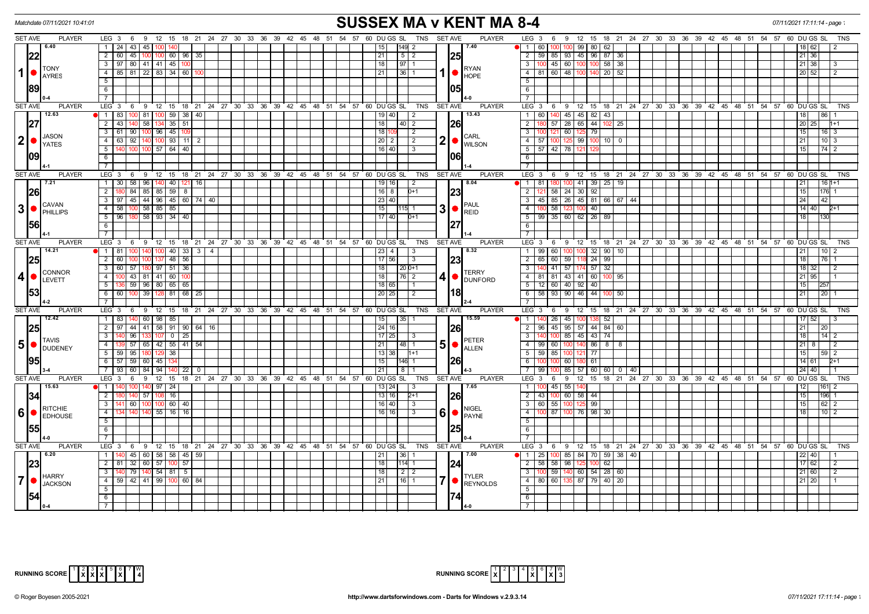| <b>SUSSEX MA v KENT MA 8-4</b><br>Matchdate 07/11/2021 10:41:01 |           |                                                                                                                                                                                                                                                                                                                                                                                                                                                                              |                                                                           |                                                                                                      |                                           |  |  |  |  |  |                                     |             |              |                        | 07/11/2021 17:11:14 - page |                         |                         |                                |                                                                      |                   |                      |                         |                  |                                                                |  |  |    |             |    |                 |         |                 |             |                  |
|-----------------------------------------------------------------|-----------|------------------------------------------------------------------------------------------------------------------------------------------------------------------------------------------------------------------------------------------------------------------------------------------------------------------------------------------------------------------------------------------------------------------------------------------------------------------------------|---------------------------------------------------------------------------|------------------------------------------------------------------------------------------------------|-------------------------------------------|--|--|--|--|--|-------------------------------------|-------------|--------------|------------------------|----------------------------|-------------------------|-------------------------|--------------------------------|----------------------------------------------------------------------|-------------------|----------------------|-------------------------|------------------|----------------------------------------------------------------|--|--|----|-------------|----|-----------------|---------|-----------------|-------------|------------------|
| <b>SET AVE</b>                                                  |           | <b>PLAYER</b>                                                                                                                                                                                                                                                                                                                                                                                                                                                                | LEG 3 6 9 12 15 18 21 24 27 30 33 36 39 42 45 48 51 54 57 60 DUGS SL      |                                                                                                      |                                           |  |  |  |  |  |                                     |             |              |                        |                            | TNS SET AVE             |                         | <b>PLAYER</b>                  | LEG 3 6 9 12 15 18 21 24 27 30 33 36 39 42 45 48 51 54 57 60 DUGS SL |                   |                      |                         |                  |                                                                |  |  |    |             |    |                 |         |                 |             | TNS              |
|                                                                 |           | 6.40                                                                                                                                                                                                                                                                                                                                                                                                                                                                         | 1   24   43   45                                                          |                                                                                                      |                                           |  |  |  |  |  |                                     |             |              | 15                     | 149<br>2                   |                         |                         | 7.40                           | 60<br>$\blacksquare$ 1                                               | 100               | 100 99 80 62         |                         |                  |                                                                |  |  |    |             |    |                 |         | 18   62         |             |                  |
|                                                                 | 22        |                                                                                                                                                                                                                                                                                                                                                                                                                                                                              | 2   60   45   100   100   60   96   35                                    |                                                                                                      |                                           |  |  |  |  |  |                                     |             |              | 21                     | $5 \mid 2$                 |                         |                         | 25                             | $\overline{2}$                                                       |                   | 59 85 93 45 96 87 36 |                         |                  |                                                                |  |  |    |             |    |                 |         | 21 36           |             |                  |
|                                                                 |           | <b>TONY</b>                                                                                                                                                                                                                                                                                                                                                                                                                                                                  | 3   97   80   41   41   45   100                                          |                                                                                                      |                                           |  |  |  |  |  |                                     |             |              | 18 <sup>1</sup>        | 97 1                       |                         |                         | <b>RYAN</b>                    | $\overline{\mathbf{3}}$                                              |                   | 100 45 60 100        | 100                     | 58 38            |                                                                |  |  |    |             |    |                 |         | 21 38           |             |                  |
| 1                                                               |           | <b>AYRES</b>                                                                                                                                                                                                                                                                                                                                                                                                                                                                 | 4   85   81   22   83   34   60                                           |                                                                                                      |                                           |  |  |  |  |  |                                     |             |              | 21                     | $36 \mid 1$                |                         |                         | <b>HOPE</b>                    | 4 81 60 48 100                                                       |                   |                      | 14ſ                     | $20 \mid 52$     |                                                                |  |  |    |             |    |                 |         | 20 52           |             |                  |
|                                                                 |           |                                                                                                                                                                                                                                                                                                                                                                                                                                                                              | 5                                                                         |                                                                                                      |                                           |  |  |  |  |  |                                     |             |              |                        |                            |                         |                         |                                | $\overline{5}$                                                       |                   |                      |                         |                  |                                                                |  |  |    |             |    |                 |         |                 |             |                  |
|                                                                 | 189       |                                                                                                                                                                                                                                                                                                                                                                                                                                                                              | 6                                                                         |                                                                                                      |                                           |  |  |  |  |  |                                     |             |              |                        |                            |                         |                         | 105I                           | 6                                                                    |                   |                      |                         |                  |                                                                |  |  |    |             |    |                 |         |                 |             |                  |
|                                                                 |           |                                                                                                                                                                                                                                                                                                                                                                                                                                                                              | $\overline{7}$                                                            |                                                                                                      |                                           |  |  |  |  |  |                                     |             |              |                        |                            |                         |                         |                                | $\overline{7}$                                                       |                   |                      |                         |                  |                                                                |  |  |    |             |    |                 |         |                 |             |                  |
| <b>SET AVE</b>                                                  |           | <b>PLAYER</b>                                                                                                                                                                                                                                                                                                                                                                                                                                                                | $LEG_3^6$<br>9 12 15 18 21 24 27 30 33 36 39 42 45 48 51 54 57 60 DUGS SL |                                                                                                      |                                           |  |  |  |  |  |                                     |             |              |                        |                            | TNS                     | <b>SET AVE</b>          | <b>PLAYER</b>                  | LEG <sub>3</sub>                                                     |                   |                      |                         |                  | 6 9 12 15 18 21 24 27 30 33 36 39 42 45 48 51 54 57 60 DUGS SL |  |  |    |             |    |                 |         |                 |             | <b>TNS</b>       |
|                                                                 |           | 12.63                                                                                                                                                                                                                                                                                                                                                                                                                                                                        | 1   83   100   81   100   59   38   40                                    |                                                                                                      |                                           |  |  |  |  |  |                                     |             |              | $19$ 40                | $\vert$ 2                  |                         |                         | 13.43                          | $\overline{1}$                                                       |                   | 60 140 45 45 82 43   |                         |                  |                                                                |  |  |    |             |    |                 |         | 18              | 86          |                  |
|                                                                 | 27        |                                                                                                                                                                                                                                                                                                                                                                                                                                                                              | 58 134 35 51<br>2 43 140                                                  |                                                                                                      |                                           |  |  |  |  |  |                                     |             |              | 18                     |                            |                         |                         | 26                             | $\overline{2}$                                                       |                   | $57$ 28 65 44        |                         |                  | $102$ 25                                                       |  |  |    |             |    |                 |         | 20 25           |             |                  |
|                                                                 |           |                                                                                                                                                                                                                                                                                                                                                                                                                                                                              | 3 61 90 100 96 45 109                                                     |                                                                                                      |                                           |  |  |  |  |  |                                     |             |              | 18 109                 | $\sqrt{2}$                 |                         |                         |                                | $\overline{\mathbf{3}}$                                              |                   | 100 121 60 125 79    |                         |                  |                                                                |  |  |    |             |    |                 |         | 15              |             | 16   3           |
|                                                                 |           | <b>JASON</b><br>$2  \bullet  _{\text{YATES}}^{\text{JASON}}$                                                                                                                                                                                                                                                                                                                                                                                                                 | 4 63 92 140 100 93 11 2                                                   |                                                                                                      |                                           |  |  |  |  |  |                                     |             |              | $\vert 20 \vert 2$     | $\sqrt{2}$                 |                         | 2 •                     | <b>CARL</b>                    | 4 57 100 125 99 100 10 0                                             |                   |                      |                         |                  |                                                                |  |  |    |             |    |                 |         | 21              |             | $10\overline{3}$ |
|                                                                 |           |                                                                                                                                                                                                                                                                                                                                                                                                                                                                              | 5   140   100   100   57   64   40                                        |                                                                                                      |                                           |  |  |  |  |  |                                     |             |              | 16 40                  | $\sqrt{3}$                 |                         |                         | <b>WILSON</b>                  | 5 57 42 78 121                                                       |                   |                      |                         |                  |                                                                |  |  |    |             |    |                 |         | 15 <sup>1</sup> |             | 74 I 2           |
|                                                                 | 109       |                                                                                                                                                                                                                                                                                                                                                                                                                                                                              | 6                                                                         |                                                                                                      |                                           |  |  |  |  |  |                                     |             |              |                        |                            |                         |                         | 1061                           | 6                                                                    |                   |                      |                         |                  |                                                                |  |  |    |             |    |                 |         |                 |             |                  |
|                                                                 |           |                                                                                                                                                                                                                                                                                                                                                                                                                                                                              | $\overline{7}$                                                            |                                                                                                      |                                           |  |  |  |  |  |                                     |             |              |                        |                            |                         |                         |                                | $\overline{7}$                                                       |                   |                      |                         |                  |                                                                |  |  |    |             |    |                 |         |                 |             |                  |
| <b>SET AVE</b>                                                  |           | <b>PLAYER</b>                                                                                                                                                                                                                                                                                                                                                                                                                                                                | LEG 3<br>9 12 15 18 21 24 27 30 33 36 39 42 45 48 51 54 57<br>6           |                                                                                                      |                                           |  |  |  |  |  |                                     |             |              | 60 DU GS SL            |                            | <b>TNS</b>              | <b>SET AVE</b>          | <b>PLAYER</b>                  | LEG <sup>3</sup>                                                     | 6                 |                      |                         |                  | 9 12 15 18 21 24 27 30 33 36 39 42 45 48 51 54 57 60 DUGS SL   |  |  |    |             |    |                 |         |                 |             | <b>TNS</b>       |
|                                                                 |           | 7.21                                                                                                                                                                                                                                                                                                                                                                                                                                                                         | 1   30   58   96   140   40   121   16                                    |                                                                                                      |                                           |  |  |  |  |  |                                     |             |              | $19$ 16                | $\sqrt{2}$                 |                         |                         | 8.04                           | $\overline{1}$<br>81                                                 | 180               |                      |                         | 100 41 39 25 19  |                                                                |  |  |    |             |    |                 |         | 21              |             | $161+1$          |
|                                                                 | <b>26</b> |                                                                                                                                                                                                                                                                                                                                                                                                                                                                              | $84 \mid 85 \mid 85 \mid 59 \mid 8$<br>2                                  |                                                                                                      |                                           |  |  |  |  |  |                                     |             |              | 16 8                   | $0+1$                      |                         |                         | 23                             | $\overline{2}$                                                       |                   | 58 24 30             | 92                      |                  |                                                                |  |  |    |             |    |                 |         | 15              |             |                  |
|                                                                 |           |                                                                                                                                                                                                                                                                                                                                                                                                                                                                              |                                                                           | $3 \mid 97 \mid 45 \mid 44 \mid 96 \mid 45 \mid 60 \mid 74 \mid 40$                                  |                                           |  |  |  |  |  |                                     |             | 23 40        |                        |                            |                         | $\overline{\mathbf{3}}$ |                                |                                                                      |                   |                      | 45 85 26 45 81 66 67 44 |                  |                                                                |  |  |    |             |    | 24              |         |                 |             |                  |
|                                                                 |           | CAVAN<br>$3 \nvert \nvert$ <sup>CAVAIN</sup>                                                                                                                                                                                                                                                                                                                                                                                                                                 | 4 58 100 58 85 85                                                         |                                                                                                      |                                           |  |  |  |  |  |                                     |             |              | 15                     | 115 1                      |                         | 3                       | <b>IPAUL</b>                   | $\overline{4}$                                                       | 58                |                      | 40                      |                  |                                                                |  |  |    |             |    |                 |         | $14$ 40         |             |                  |
|                                                                 |           |                                                                                                                                                                                                                                                                                                                                                                                                                                                                              | 58 93 34 40<br>$5 \mid 96$<br>180                                         |                                                                                                      |                                           |  |  |  |  |  |                                     |             |              | 17 40                  | $D+1$                      |                         | REID<br>127             | $\overline{5}$                 |                                                                      | 99 35 60 62 26 89 |                      |                         |                  |                                                                |  |  |    |             |    |                 | 18      |                 |             |                  |
|                                                                 | 156       |                                                                                                                                                                                                                                                                                                                                                                                                                                                                              | $6\overline{6}$                                                           |                                                                                                      |                                           |  |  |  |  |  |                                     |             |              |                        |                            |                         |                         |                                | 6                                                                    |                   |                      |                         |                  |                                                                |  |  |    |             |    |                 |         |                 |             |                  |
|                                                                 |           |                                                                                                                                                                                                                                                                                                                                                                                                                                                                              | 7                                                                         |                                                                                                      |                                           |  |  |  |  |  |                                     |             |              |                        |                            |                         |                         |                                | $\overline{7}$                                                       |                   |                      |                         |                  |                                                                |  |  |    |             |    |                 |         |                 |             |                  |
| <b>SET AVE</b>                                                  |           | <b>PLAYER</b>                                                                                                                                                                                                                                                                                                                                                                                                                                                                | LEG 3 6 9 12 15 18 21 24 27 30 33 36 39 42 45 48 51 54 57 60 DUGS SL      |                                                                                                      |                                           |  |  |  |  |  |                                     |             |              |                        |                            | TNS                     | <b>SET AVE</b>          | <b>PLAYER</b>                  | LEG 3 6 9 12 15 18 21 24 27 30 33 36 39 42 45 48 51 54 57 60 DUGS SL |                   |                      |                         |                  |                                                                |  |  |    |             |    |                 |         |                 |             | <b>TNS</b>       |
|                                                                 |           | 14.21                                                                                                                                                                                                                                                                                                                                                                                                                                                                        | 1 81<br>100                                                               | $40 \mid 33 \mid 3 \mid$                                                                             | $\overline{4}$                            |  |  |  |  |  |                                     |             |              | 23<br>4                | 3                          |                         |                         | 8.32                           | $\overline{1}$<br>-99 I                                              | 60                | 100 100              | 32                      | 90 <sup>1</sup>  | 10                                                             |  |  |    |             |    |                 |         | 21              | 10 I        |                  |
|                                                                 | 25        | <b>CONNOR</b><br>LEVETT                                                                                                                                                                                                                                                                                                                                                                                                                                                      | $2 \mid 60 \mid$<br>48 56<br>100 137                                      |                                                                                                      |                                           |  |  |  |  |  |                                     |             | 17 56        | 3                      |                            |                         | 23                      | $\overline{2}$<br>65           |                                                                      | 60 59 118         |                      | 24 99                   |                  |                                                                |  |  |    |             |    |                 | 18      | 76              |             |                  |
|                                                                 |           |                                                                                                                                                                                                                                                                                                                                                                                                                                                                              | 60   57   180   97   51   36<br>3 I                                       |                                                                                                      |                                           |  |  |  |  |  |                                     |             |              | 18                     | $20D+1$                    |                         |                         |                                | $\overline{\mathbf{3}}$                                              |                   | 140 41 57 174 57     |                         | 32               |                                                                |  |  |    |             |    |                 |         | 18 32           |             |                  |
| $\vert$                                                         |           |                                                                                                                                                                                                                                                                                                                                                                                                                                                                              | 43   81   41   60   100<br>$-4$                                           |                                                                                                      |                                           |  |  |  |  |  |                                     |             |              | 18                     | 76 2                       |                         | 4                       | <b>TERRY</b><br><b>DUNFORD</b> | 4   81   81   43   41   60   100   95                                |                   |                      |                         |                  |                                                                |  |  |    |             |    |                 |         | $21$   95       |             |                  |
|                                                                 |           |                                                                                                                                                                                                                                                                                                                                                                                                                                                                              | 136 59 96 80 65 65<br>51                                                  |                                                                                                      |                                           |  |  |  |  |  |                                     |             |              | 18 65                  | I 1                        |                         | $-5$                    |                                | 12 60 40 92 40                                                       |                   |                      |                         |                  |                                                                |  |  |    |             |    | 15 <sup>1</sup> |         |                 |             |                  |
|                                                                 | 153       |                                                                                                                                                                                                                                                                                                                                                                                                                                                                              | 6 6 6 100 39 128 81 68 25                                                 |                                                                                                      |                                           |  |  |  |  |  |                                     |             |              | 20 25                  | $\sqrt{2}$                 |                         | 18                      |                                | 6                                                                    |                   | 58 93 90 46 44       |                         |                  | 100 50                                                         |  |  |    |             |    |                 |         | 21              | 20          |                  |
|                                                                 |           |                                                                                                                                                                                                                                                                                                                                                                                                                                                                              | $\overline{7}$                                                            |                                                                                                      |                                           |  |  |  |  |  |                                     |             |              |                        |                            |                         |                         |                                | $\overline{7}$                                                       |                   |                      |                         |                  |                                                                |  |  |    |             |    |                 |         |                 |             |                  |
| <b>SET AVE</b>                                                  |           | <b>PLAYER</b>                                                                                                                                                                                                                                                                                                                                                                                                                                                                | $LEG_3$ 6<br><b>9</b><br>$12 \quad 15$                                    |                                                                                                      | 18 21 24 27 30 33 36 39 42 45 48 51 54 57 |  |  |  |  |  |                                     |             |              | 60 DU GS SL            |                            | <b>TNS</b>              | <b>SET AVE</b>          | <b>PLAYER</b>                  | LEG <sub>3</sub>                                                     | - 6               | - 9                  |                         |                  | 12 15 18 21 24 27 30 33 36 39 42 45 48 51 54 57                |  |  |    |             |    |                 |         |                 | 60 DU GS SL | TNS              |
|                                                                 |           | 12.42                                                                                                                                                                                                                                                                                                                                                                                                                                                                        | 1   83   140   60   98   85                                               |                                                                                                      |                                           |  |  |  |  |  |                                     |             |              | 15                     | $ 35 $ 1                   |                         |                         | 15.59                          | 1 140                                                                |                   | 26 45 100            |                         | 52               |                                                                |  |  |    |             |    |                 |         | 17   52         |             |                  |
|                                                                 | 25        |                                                                                                                                                                                                                                                                                                                                                                                                                                                                              | 2   97   44   41   58   91   90   64   16                                 |                                                                                                      |                                           |  |  |  |  |  |                                     |             |              | 24 16                  |                            |                         |                         | I26I                           | 2 96 45 95 57 44 84 60                                               |                   |                      |                         |                  |                                                                |  |  |    |             |    |                 |         | 21              | 20          |                  |
|                                                                 |           |                                                                                                                                                                                                                                                                                                                                                                                                                                                                              | $\overline{3}$                                                            | $96$   133   107   0   25  <br>4   139   57   65   42   55   41   54<br>5   59   95   180   129   38 |                                           |  |  |  |  |  |                                     |             | 17 25<br>l 3 |                        | PETER<br>5<br>. .<br>ALLEN | $\overline{\mathbf{3}}$ | $100 \,$                | 85 45 43 74                    |                                                                      |                   |                      |                         |                  |                                                                |  |  |    |             | 18 |                 | $14$ 2  |                 |             |                  |
|                                                                 |           | <b>TAVIS</b><br>$5 \nvert \nvert$ $\frac{1 \text{AVI}^{\text{IV}}}{\text{DUDENEY}}$                                                                                                                                                                                                                                                                                                                                                                                          |                                                                           |                                                                                                      |                                           |  |  |  |  |  | $\left  \frac{48}{1} \right $<br>21 |             |              | 4 99 60 100 140 86 8 8 |                            |                         |                         |                                |                                                                      |                   |                      |                         |                  |                                                                |  |  |    | $21 \mid 8$ |    | 12              |         |                 |             |                  |
|                                                                 |           |                                                                                                                                                                                                                                                                                                                                                                                                                                                                              |                                                                           |                                                                                                      |                                           |  |  |  |  |  |                                     |             |              | 13   38                | $1 + 1$                    |                         |                         |                                | 5 59 85 100 12                                                       |                   |                      | $\overline{77}$         |                  |                                                                |  |  | 15 |             |    |                 |         |                 | 59 2        |                  |
|                                                                 |           |                                                                                                                                                                                                                                                                                                                                                                                                                                                                              | $6$ 57 59 60 45 134                                                       |                                                                                                      |                                           |  |  |  |  |  |                                     | 15<br>146 1 |              |                        |                            |                         |                         |                                | 6                                                                    | 100               | $60$ 18              | $0\quad61$              |                  |                                                                |  |  |    |             |    |                 |         | 14 61           |             |                  |
|                                                                 |           |                                                                                                                                                                                                                                                                                                                                                                                                                                                                              | 7   93   60   84   94   140   22   0                                      |                                                                                                      |                                           |  |  |  |  |  |                                     |             |              | 21                     | 811                        |                         |                         | $\overline{7}$<br>99           |                                                                      |                   |                      |                         | 85 57 60 60 0 40 |                                                                |  |  |    |             |    |                 | $24$ 40 |                 |             |                  |
| <b>SET AVE</b>                                                  |           | <b>PLAYER</b>                                                                                                                                                                                                                                                                                                                                                                                                                                                                | 9 12 15 18 21 24 27 30 33 36 39 42 45 48 51 54 57<br>LEG 3<br>6           |                                                                                                      |                                           |  |  |  |  |  |                                     |             |              | 60 DUGS SL             |                            | TNS                     | <b>SET AVE</b>          | <b>PLAYER</b>                  | $LEG_3$ 6                                                            |                   | -9                   |                         |                  | 12 15 18 21 24 27 30 33 36 39 42 45 48 51 54 57 60 DUGSSL      |  |  |    |             |    |                 |         |                 |             | <b>TNS</b>       |
|                                                                 |           | 15.63                                                                                                                                                                                                                                                                                                                                                                                                                                                                        | 140 97 24<br>11140                                                        |                                                                                                      |                                           |  |  |  |  |  |                                     |             |              | $13 \mid 24$           | $\vert$ 3                  |                         |                         | 17.65                          | $\overline{1}$                                                       |                   | 100 45 55 140        |                         |                  |                                                                |  |  |    |             |    |                 |         | 12              | 1161        |                  |
|                                                                 | 34        |                                                                                                                                                                                                                                                                                                                                                                                                                                                                              | $\overline{2}$<br>140 57 108                                              | 16                                                                                                   |                                           |  |  |  |  |  |                                     |             |              | 13 16                  | $2+1$                      |                         |                         | <b>26</b>                      | $\overline{2}$<br> 43                                                |                   | 100 60 58 44         |                         |                  |                                                                |  |  |    |             |    |                 |         | 15 <sup>1</sup> | 196I        |                  |
|                                                                 |           | <b>RITCHIE</b>                                                                                                                                                                                                                                                                                                                                                                                                                                                               | 3   141   60   100   100   60   40                                        |                                                                                                      |                                           |  |  |  |  |  |                                     |             |              | $16$ 40                | 3                          |                         |                         | <b>INIGEL</b>                  | 3 60 55 100 12                                                       |                   |                      | 99                      |                  |                                                                |  |  |    |             |    |                 |         | 15              |             | 62   2           |
|                                                                 |           | $6$ $\bullet$ $\overline{\phantom{a}}$ $\overline{\phantom{a}}$ $\overline{\phantom{a}}$ $\overline{\phantom{a}}$ $\overline{\phantom{a}}$ $\overline{\phantom{a}}$ $\overline{\phantom{a}}$ $\overline{\phantom{a}}$ $\overline{\phantom{a}}$ $\overline{\phantom{a}}$ $\overline{\phantom{a}}$ $\overline{\phantom{a}}$ $\overline{\phantom{a}}$ $\overline{\phantom{a}}$ $\overline{\phantom{a}}$ $\overline{\phantom{a}}$ $\overline{\phantom{a}}$ $\overline{\phantom{$ | $-4$<br>34 140 140 55 16 16                                               |                                                                                                      |                                           |  |  |  |  |  |                                     |             |              | $16$ 16                | 3                          |                         | 6                       | $\bigcap_{PAYNE}$              | $-4$                                                                 | 100 87            | 100 76 98            |                         | 30               |                                                                |  |  |    |             |    |                 |         | 18              |             | $10$   2         |
|                                                                 |           |                                                                                                                                                                                                                                                                                                                                                                                                                                                                              | 5                                                                         |                                                                                                      |                                           |  |  |  |  |  |                                     |             |              |                        |                            |                         |                         |                                | $-5$                                                                 |                   |                      |                         |                  |                                                                |  |  |    |             |    |                 |         |                 |             |                  |
|                                                                 | 155       |                                                                                                                                                                                                                                                                                                                                                                                                                                                                              | 6                                                                         |                                                                                                      |                                           |  |  |  |  |  |                                     |             |              |                        |                            |                         |                         | 1251                           | 6                                                                    |                   |                      |                         |                  |                                                                |  |  |    |             |    |                 |         |                 |             |                  |
|                                                                 |           |                                                                                                                                                                                                                                                                                                                                                                                                                                                                              | $\overline{7}$                                                            |                                                                                                      |                                           |  |  |  |  |  |                                     |             |              |                        |                            |                         |                         |                                | $\overline{7}$                                                       |                   |                      |                         |                  |                                                                |  |  |    |             |    |                 |         |                 |             |                  |
| <b>SET AVE</b>                                                  |           | <b>PLAYER</b>                                                                                                                                                                                                                                                                                                                                                                                                                                                                | LEG 3 6 9 12 15 18 21 24 27 30 33 36 39 42 45 48 51 54 57 60 DUGS SL      |                                                                                                      |                                           |  |  |  |  |  |                                     |             |              |                        |                            | TNS SET AVE             |                         | <b>PLAYER</b>                  | LEG 3 6 9 12 15 18 21 24 27 30 33 36 39 42 45 48 51 54 57 60 DUGS SL |                   |                      |                         |                  |                                                                |  |  |    |             |    |                 |         |                 |             | <b>TNS</b>       |
|                                                                 |           | 6.20                                                                                                                                                                                                                                                                                                                                                                                                                                                                         | 1   140   45   60   58   58   45   59                                     |                                                                                                      |                                           |  |  |  |  |  |                                     |             |              | 21                     | 36 1                       |                         |                         | 17.00                          | $\blacksquare$<br>$25 \mid$                                          |                   |                      |                         |                  | 100 85 84 70 59 38 40                                          |  |  |    |             |    |                 |         | $22$   40       |             |                  |
|                                                                 |           |                                                                                                                                                                                                                                                                                                                                                                                                                                                                              | 2   81   32   60   57   100   57                                          |                                                                                                      |                                           |  |  |  |  |  |                                     |             |              | 18                     | $114$ 1                    |                         |                         | 24                             | $\overline{2}$                                                       |                   | 58 58 98 125         | 100                     | 62               |                                                                |  |  |    |             |    |                 |         | 17 62           |             |                  |
|                                                                 |           | <b>HARRY</b>                                                                                                                                                                                                                                                                                                                                                                                                                                                                 | $\overline{\phantom{a}3}$<br>79 140 54 81 5                               |                                                                                                      |                                           |  |  |  |  |  |                                     |             |              | 18                     | $2 \mid 2$                 |                         |                         | <b>TYLER</b>                   | $\overline{\mathbf{3}}$                                              | 59                |                      |                         | 140 60 54 28 60  |                                                                |  |  |    |             |    |                 |         | 21 60           |             |                  |
| $\overline{7}$                                                  |           | <b>JACKSON</b>                                                                                                                                                                                                                                                                                                                                                                                                                                                               | 4   59   42   41   99   100   60   84                                     |                                                                                                      |                                           |  |  |  |  |  |                                     |             |              | 21                     | 16 1                       |                         |                         | <b>REYNOLDS</b>                | 4 80 60 135 87 79 40 20                                              |                   |                      |                         |                  |                                                                |  |  |    |             |    |                 |         | $21$   20       |             |                  |
|                                                                 |           |                                                                                                                                                                                                                                                                                                                                                                                                                                                                              | 5                                                                         |                                                                                                      |                                           |  |  |  |  |  |                                     |             |              |                        |                            |                         |                         |                                | 5                                                                    |                   |                      |                         |                  |                                                                |  |  |    |             |    |                 |         |                 |             |                  |
|                                                                 |           |                                                                                                                                                                                                                                                                                                                                                                                                                                                                              | 6 <sup>1</sup>                                                            |                                                                                                      |                                           |  |  |  |  |  |                                     |             |              |                        |                            |                         |                         | 74I                            | 6                                                                    |                   |                      |                         |                  |                                                                |  |  |    |             |    |                 |         |                 |             |                  |
|                                                                 |           |                                                                                                                                                                                                                                                                                                                                                                                                                                                                              |                                                                           |                                                                                                      |                                           |  |  |  |  |  |                                     |             |              |                        |                            |                         |                         |                                | $\overline{7}$                                                       |                   |                      |                         |                  |                                                                |  |  |    |             |    |                 |         |                 |             |                  |

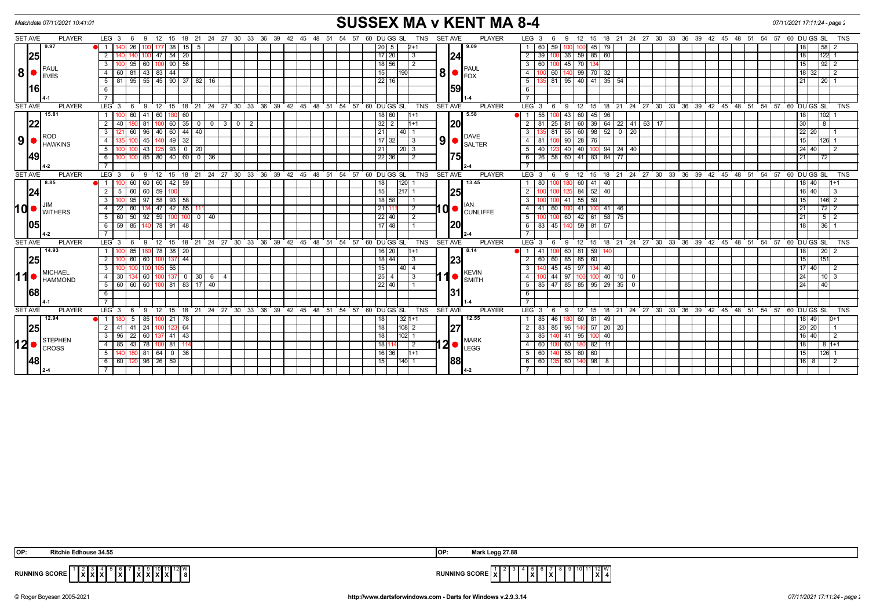| <b>SUSSEX MA v KENT MA 8-4</b><br>Matchdate 07/11/2021 10:41:01<br>07/11/2021 17:11:24 - page: |                |                                                                                                                   |                                                                                                                                  |                                                                                   |  |  |  |  |  |  |  |  |  |
|------------------------------------------------------------------------------------------------|----------------|-------------------------------------------------------------------------------------------------------------------|----------------------------------------------------------------------------------------------------------------------------------|-----------------------------------------------------------------------------------|--|--|--|--|--|--|--|--|--|
| <b>SET AVE</b>                                                                                 | <b>PLAYER</b>  | LEG <sub>3</sub><br>18  21  24  27  30  33  36  39  42  45  48  51  54  57  60  DU GS  SL<br>9<br>12<br>15<br>- 6 | <b>TNS</b><br><b>SET AVE</b><br><b>PLAYER</b><br>LEG <sub>3</sub><br>12<br>9<br>- 6                                              | 15 18 21 24 27 30 33 36 39 42 45 48 51 54 57 60 DUGS SL<br><b>TNS</b>             |  |  |  |  |  |  |  |  |  |
|                                                                                                | 9.97           | 38 <sup>1</sup><br>26<br>$15$   5<br>- 1 - I                                                                      | 9.09<br>45<br> 79<br>2+1<br>60<br>- 59<br>2015<br>$\overline{1}$                                                                 | 58 <br>18  <br>-2                                                                 |  |  |  |  |  |  |  |  |  |
| 25                                                                                             |                | $54$   20<br>$\overline{2}$<br>47                                                                                 | 24<br>39<br>$36$ 59<br>85 60<br>17 20<br>$\overline{2}$<br>  3                                                                   | 18<br> 122  1                                                                     |  |  |  |  |  |  |  |  |  |
|                                                                                                |                | $95 \mid 60 \mid 100 \mid 90 \mid 56 \mid$<br>3 I                                                                 | 45 70 13<br>$18$ 56<br>$\overline{2}$<br>60 100<br>3 I<br>PAUL                                                                   | $\frac{1}{92}$ 2<br>15                                                            |  |  |  |  |  |  |  |  |  |
| 8                                                                                              | <b>EVES</b>    | 44<br>81  <br> 43 83 <br>4 I<br>60                                                                                | 8 <br>140 99 70 32<br>15<br>60<br>$\overline{4}$<br><b>1190</b><br><b>FOX</b>                                                    | 18 32 <br>$\frac{1}{2}$                                                           |  |  |  |  |  |  |  |  |  |
|                                                                                                |                | 5   81   95   55   45   90   37   82   16                                                                         | 22   16  <br>135 81 95 40 41 35 54<br>$5\sqrt{2}$                                                                                | 21<br>12011                                                                       |  |  |  |  |  |  |  |  |  |
|                                                                                                | 16I            | 6                                                                                                                 | 159<br>6                                                                                                                         |                                                                                   |  |  |  |  |  |  |  |  |  |
|                                                                                                |                |                                                                                                                   |                                                                                                                                  |                                                                                   |  |  |  |  |  |  |  |  |  |
| <b>SET AVE</b>                                                                                 | <b>PLAYER</b>  | $LEG \ 3$<br>$^{\circ}$ 12<br>$18$ 21 24 27 30 33 36<br>- 6<br>-9<br>15                                           | 39 42 45 48 51 54 57 60 DUGS SL<br><b>PLAYER</b><br><b>TNS</b><br><b>SET AVE</b><br>$LEG \ 3$<br>$^{\circ}$ 12<br>9<br>15<br>- 6 | 18  21  24  27  30  33  36  39  42  45  48  51  54  57  60  DUGS SL<br><b>TNS</b> |  |  |  |  |  |  |  |  |  |
|                                                                                                | 15.81          | 60<br>41<br>  60  <br>60<br>-1 I                                                                                  | 5.58<br>43   60<br>$45$ 96<br>18 60<br>$\blacksquare$ 1<br>55<br>1+1                                                             | 18 <sup>1</sup><br>102                                                            |  |  |  |  |  |  |  |  |  |
| 22                                                                                             |                | $\overline{2}$<br>60<br>$35$ 0<br>31012<br>$\circ$ 1                                                              | $32$   2<br> 20<br>39 64 22 41<br>25<br>81 60<br>$63 \mid 17$<br>1+1                                                             | 30<br>8                                                                           |  |  |  |  |  |  |  |  |  |
|                                                                                                | ROD            | 60<br>$44$   $40$<br>60<br>$\overline{140}$<br>$3^{\circ}$<br>96                                                  | $55$ 60<br>$98$ 52 0 20<br>21<br>$\overline{3}$<br>81<br>140 I 1<br><b>DAVE</b>                                                  | 22   20                                                                           |  |  |  |  |  |  |  |  |  |
| 9                                                                                              | <b>HAWKINS</b> | 49<br>32<br>45 1<br>4 I<br>100<br>140 I                                                                           | $9$ $\bullet$<br>$90$ 28 76<br>$17$   32  <br>$\overline{3}$<br>81<br>4 I<br><b>SALTER</b>                                       | 15<br>$126$ 1                                                                     |  |  |  |  |  |  |  |  |  |
|                                                                                                |                | 93<br>5 <sup>1</sup><br>43<br>0   20                                                                              | 40<br>40 40<br>$94$ 24 40<br>21<br>$\vert 20 \vert 3$<br>5<br>10 <sub>C</sub>                                                    | 24 40 <br>2                                                                       |  |  |  |  |  |  |  |  |  |
| <b>149</b>                                                                                     |                | 85 80 40 60 0 36<br>6<br>100 I                                                                                    | 75<br>$6$   26   58   60   41   83   84   77<br>22 36 <br>l 2                                                                    | 21 <br> 72                                                                        |  |  |  |  |  |  |  |  |  |
|                                                                                                |                |                                                                                                                   |                                                                                                                                  |                                                                                   |  |  |  |  |  |  |  |  |  |
| <b>SET AVE</b>                                                                                 | <b>PLAYER</b>  | 18 21 24 27 30 33 36 39 42 45 48 51 54 57 60 DUGS SL<br>$LEG \ 3$<br>12<br>9<br>15<br>6                           | <b>PLAYER</b><br><b>TNS</b><br><b>SET AVE</b><br>LEG <sup>3</sup><br>9<br>12<br>15<br>- 6                                        | 18 21 24 27 30 33 36 39 42 45 48 51 54 57 60 DUGS SL<br><b>TNS</b>                |  |  |  |  |  |  |  |  |  |
|                                                                                                | 8.85           | 60<br>42<br>59<br>60<br>  60                                                                                      | 13.45<br>120<br>60<br>18<br>80<br>41<br>40                                                                                       | 18 40                                                                             |  |  |  |  |  |  |  |  |  |
| 24                                                                                             |                | $\overline{60}$<br>2<br>$60$ 59<br>5<br>ınr                                                                       | 25<br>$52 \mid 40$<br>15<br>$217$ 1<br>$\overline{2}$<br>84                                                                      | 16   40  <br>3                                                                    |  |  |  |  |  |  |  |  |  |
|                                                                                                |                | 58   93   58  <br>$\overline{\mathbf{3}}$<br>95<br>97                                                             | $41$ 55<br>59<br>18 58<br>3                                                                                                      | 15<br>$146$ 2                                                                     |  |  |  |  |  |  |  |  |  |
|                                                                                                | 10 MITHERS     | 42<br>85<br>60<br>-47 I<br>4 I<br>22                                                                              | I O  ●  <br>21<br>$\sqrt{2}$<br>41<br>60<br>$41 \overline{46}$<br>$\overline{4}$<br>41<br><b>CUNLIFFE</b>                        | 21                                                                                |  |  |  |  |  |  |  |  |  |
|                                                                                                |                | 50<br>$92$ 59<br>$100$ 0 $140$<br>5 I<br>100<br>60 I                                                              | $22$ 40<br>$\overline{2}$<br>60 42<br>61<br>58 75<br>5                                                                           | 21<br>5 2                                                                         |  |  |  |  |  |  |  |  |  |
| 105                                                                                            |                | 85<br>140 78 91<br>48<br>-6 I<br>59                                                                               | 20<br>17   48  <br>45<br>59<br>81<br>57<br>83<br>6                                                                               | 36 <br>18                                                                         |  |  |  |  |  |  |  |  |  |
|                                                                                                |                |                                                                                                                   |                                                                                                                                  |                                                                                   |  |  |  |  |  |  |  |  |  |
| <b>SET AVE</b>                                                                                 | <b>PLAYER</b>  | 15 18 21 24 27 30 33 36 39 42 45 48 51 54<br>LEG <sub>3</sub><br>9<br>12<br>- 6                                   | 57 60 DU GS SL<br><b>TNS</b><br><b>SET AVE</b><br><b>PLAYER</b><br>$LEG_3$<br>$9 \t12$<br>6                                      | 15 18 21 24 27 30 33 36 39 42 45 48 51 54 57 60 DUGS SL<br><b>TNS</b>             |  |  |  |  |  |  |  |  |  |
|                                                                                                | 14.93          | 180 78 38 20<br>85                                                                                                | 8.14<br>41<br>60 81<br>59<br>16   20<br>$\blacksquare$<br>l1+1                                                                   | 18<br> 20                                                                         |  |  |  |  |  |  |  |  |  |
| 25                                                                                             |                | 44<br>2 <sup>1</sup><br>60<br>60<br>137                                                                           | 23<br>85 85<br>60<br>18 44<br>60<br>60<br>l 3                                                                                    | 15 <br>151                                                                        |  |  |  |  |  |  |  |  |  |
|                                                                                                | <b>MICHAEL</b> | 3 <sup>1</sup><br>56                                                                                              | 140 45 45 97 134 40<br>15 <sub>l</sub><br>40 4<br>3<br><b>KEVIN</b>                                                              | 17   40  <br>$\overline{2}$                                                       |  |  |  |  |  |  |  |  |  |
| 11                                                                                             | <b>HAMMOND</b> | 4 I<br>  30   6<br>30<br>60<br>137<br>$\overline{0}$<br>$\overline{4}$                                            | 44<br>40<br>25<br>l 3<br>97 100<br>$\overline{4}$<br>4<br>$10$   0<br><b>SMITH</b>                                               | 24<br>  10   3                                                                    |  |  |  |  |  |  |  |  |  |
|                                                                                                |                | 5 60 60 60 100 81 83 17 40                                                                                        | 5   85   47   85   85   95   29   35   0<br>$22$   40                                                                            | 24 <br>40                                                                         |  |  |  |  |  |  |  |  |  |
| 68                                                                                             |                | 6                                                                                                                 | 31<br>6                                                                                                                          |                                                                                   |  |  |  |  |  |  |  |  |  |
|                                                                                                |                | $\overline{7}$                                                                                                    |                                                                                                                                  |                                                                                   |  |  |  |  |  |  |  |  |  |
| <b>SET AVE</b>                                                                                 | <b>PLAYER</b>  | $LEG \ 3$<br>18 21 24 27 30 33 36 39 42 45 48 51 54 57 60 DUGS SL<br>12<br>15<br>- 6<br>-9                        | <b>SET AVE</b><br><b>PLAYER</b><br><b>TNS</b><br>LEG <sub>3</sub><br>12<br>15<br>-9<br>- 6                                       | 18 21 24 27 30 33 36 39 42 45 48 51 54 57 60 DUGS SL<br><b>TNS</b>                |  |  |  |  |  |  |  |  |  |
|                                                                                                | 12.94          | $21 \mid$<br>$\overline{1}$<br>5<br>85<br>-78                                                                     | 12.55<br>32 1+1<br>85<br>81<br>46<br>60<br>-49<br>18                                                                             | 18   49  <br>D+1                                                                  |  |  |  |  |  |  |  |  |  |
| 25                                                                                             |                | 64 <br>$2 \mid 41 \mid$<br>$41$   24  <br>123                                                                     | 27<br>18<br> 108 2<br>2 83 85<br>140 57 20 20<br>96                                                                              | 20 20                                                                             |  |  |  |  |  |  |  |  |  |
|                                                                                                | <b>STEPHEN</b> | $\overline{3}$<br>$\overline{22}$<br>$41 \mid 43$<br>96<br>60 I                                                   | 85<br>$\overline{3}$<br>41 95<br>40<br>18<br>$102$ 1<br>10C                                                                      | 16 40 <br>$\vert$ 2                                                               |  |  |  |  |  |  |  |  |  |
| 12                                                                                             | <b>CROSS</b>   | 43 78 1<br>4   85<br>00 81                                                                                        | $12$ $\bullet$ $\frac{\text{MARK}}{\text{LEGG}}$<br>60 180 82 11<br>$\overline{2}$<br>60<br>18   1<br>4 I<br>-100                | 18<br>$181+1$                                                                     |  |  |  |  |  |  |  |  |  |
|                                                                                                |                | 64<br>5 <sup>1</sup><br>81<br>$\overline{0}$<br>36                                                                | $55 \ 60$<br>60<br>$1+1$<br>60<br>16 36<br>5                                                                                     | 15<br>126 1                                                                       |  |  |  |  |  |  |  |  |  |
| 48                                                                                             |                | $120 \ 96 \ 26 \ 59$<br>6 6 6 1                                                                                   | 88<br>60 140 98 8<br>$1140 - 1$<br>$6 \mid 60$<br>15 <sup>1</sup><br>135                                                         | 16 8 1<br>$\frac{12}{2}$                                                          |  |  |  |  |  |  |  |  |  |
|                                                                                                |                |                                                                                                                   |                                                                                                                                  |                                                                                   |  |  |  |  |  |  |  |  |  |

| IOP:            | Ritchie Edhouse 34.55                                                                           | IOP: | rk Legg 27.88<br>Mor<br>wa.                                 |
|-----------------|-------------------------------------------------------------------------------------------------|------|-------------------------------------------------------------|
| <b>RUNNINGS</b> | <b>CORL</b><br><b>v</b> v<br>.<br>$\mathbf{v}$<br>-0<br><u>IAIAIA</u> I<br>1 A I<br>.<br>.<br>. |      | 12 I W<br>l x l<br>$\overline{\phantom{a}}$<br>. X I 4<br>. |